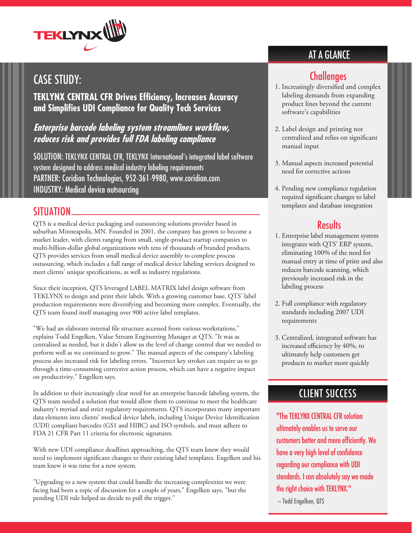

# CASE STUDY:

**TEKLYNX CENTRAL CFR Drives Efficiency, Increases Accuracy and Simplifies UDI Compliance for Quality Tech Services**

#### **Enterprise barcode labeling system streamlines workflow, reduces risk and provides full FDA labeling compliance**

SOLUTION: TEKLYNX CENTRAL CFR, TEKLYNX International's integrated label software system designed to address medical industry labeling requirements PARTNER: Coridian Technologies, 952-361-9980, www.coridian.com INDUSTRY: Medical device outsourcing

#### SITUATION

QTS is a medical device packaging and outsourcing solutions provider based in suburban Minneapolis, MN. Founded in 2001, the company has grown to become a market leader, with clients ranging from small, single-product startup companies to multi-billion-dollar global organizations with tens of thousands of branded products. QTS provides services from small medical device assembly to complete process outsourcing, which includes a full range of medical device labeling services designed to meet clients' unique specifications, as well as industry regulations.

Since their inception, QTS leveraged LABEL MATRIX label design software from TEKLYNX to design and print their labels. With a growing customer base, QTS' label production requirements were diversifying and becoming more complex. Eventually, the QTS team found itself managing over 900 active label templates.

"We had an elaborate internal file structure accessed from various workstations," explains Todd Engelken, Value Stream Engineering Manager at QTS. "It was as centralized as needed, but it didn't allow us the level of change control that we needed to perform well as we continued to grow." The manual aspects of the company's labeling process also increased risk for labeling errors. "Incorrect key strokes can require us to go through a time-consuming corrective action process, which can have a negative impact on productivity," Engelken says.

In addition to their increasingly clear need for an enterprise barcode labeling system, the QTS team needed a solution that would allow them to continue to meet the healthcare industry's myriad and strict regulatory requirements. QTS incorporates many important data elements into clients' medical device labels, including Unique Device Identification (UDI) compliant barcodes (GS1 and HIBC) and ISO symbols, and must adhere to FDA 21 CFR Part 11 criteria for electronic signatures.

With new UDI compliance deadlines approaching, the QTS team knew they would need to implement significant changes to their existing label templates. Engelken and his team knew it was time for a new system.

"Upgrading to a new system that could handle the increasing complexities we were facing had been a topic of discussion for a couple of years," Engelken says, "but the pending UDI rule helped us decide to pull the trigger."

## AT A GLANCE

### **Challenges**

- 1. Increasingly diversified and complex labeling demands from expanding product lines beyond the current software's capabilities
- 2. Label design and printing not centralized and relies on significant manual input
- 3. Manual aspects increased potential need for corrective actions
- 4. Pending new compliance regulation required significant changes to label templates and database integration

### **Results**

- 1. Enterprise label management system integrates with QTS' ERP system, eliminating 100% of the need for manual entry at time of print and also reduces barcode scanning, which previously increased risk in the labeling process
- 2. Full compliance with regulatory standards including 2007 UDI requirements
- 3. Centralized, integrated software has increased efficiency by 40%, to ultimately help customers get products to market more quickly

## CLIENT SUCCESS

"The TEKLYNX CENTRAL CFR solution ultimately enables us to serve our customers better and more efficiently. We have a very high level of confidence regarding our compliance with UDI standards. I can absolutely say we made the right choice with TEKLYNX."

— Todd Engelken, QTS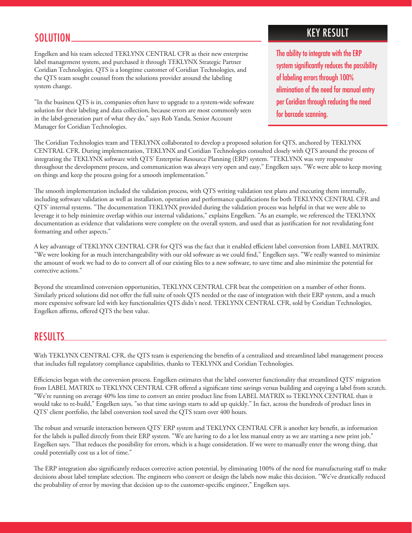#### SOLUTION

Engelken and his team selected TEKLYNX CENTRAL CFR as their new enterprise label management system, and purchased it through TEKLYNX Strategic Partner Coridian Technologies. QTS is a longtime customer of Coridian Technologies, and the QTS team sought counsel from the solutions provider around the labeling system change.

"In the business QTS is in, companies often have to upgrade to a system-wide software solution for their labeling and data collection, because errors are most commonly seen in the label-generation part of what they do," says Rob Yanda, Senior Account Manager for Coridian Technologies.

## KEY RESULT

The ability to integrate with the ERP system significantly reduces the possibility of labeling errors through 100% elimination of the need for manual entry per Coridian through reducing the need for barcode scanning.

The Coridian Technologies team and TEKLYNX collaborated to develop a proposed solution for QTS, anchored by TEKLYNX CENTRAL CFR. During implementation, TEKLYNX and Coridian Technologies consulted closely with QTS around the process of integrating the TEKLYNX software with QTS' Enterprise Resource Planning (ERP) system. "TEKLYNX was very responsive throughout the development process, and communication was always very open and easy," Engelken says. "We were able to keep moving on things and keep the process going for a smooth implementation."

The smooth implementation included the validation process, with QTS writing validation test plans and executing them internally, including software validation as well as installation, operation and performance qualifications for both TEKLYNX CENTRAL CFR and QTS' internal systems. "The documentation TEKLYNX provided during the validation process was helpful in that we were able to leverage it to help minimize overlap within our internal validations," explains Engelken. "As an example, we referenced the TEKLYNX documentation as evidence that validations were complete on the overall system, and used that as justification for not revalidating font formatting and other aspects."

A key advantage of TEKLYNX CENTRAL CFR for QTS was the fact that it enabled efficient label conversion from LABEL MATRIX. "We were looking for as much interchangeability with our old software as we could find," Engelken says. "We really wanted to minimize the amount of work we had to do to convert all of our existing files to a new software, to save time and also minimize the potential for corrective actions."

Beyond the streamlined conversion opportunities, TEKLYNX CENTRAL CFR beat the competition on a number of other fronts. Similarly priced solutions did not offer the full suite of tools QTS needed or the ease of integration with their ERP system, and a much more expensive software led with key functionalities QTS didn't need. TEKLYNX CENTRAL CFR, sold by Coridian Technologies, Engelken affirms, offered QTS the best value.

#### RESULTS

With TEKLYNX CENTRAL CFR, the QTS team is experiencing the benefits of a centralized and streamlined label management process that includes full regulatory compliance capabilities, thanks to TEKLYNX and Coridian Technologies.

Efficiencies began with the conversion process. Engelken estimates that the label converter functionality that streamlined QTS' migration from LABEL MATRIX to TEKLYNX CENTRAL CFR offered a significant time savings versus building and copying a label from scratch. "We're running on average 40% less time to convert an entire product line from LABEL MATRIX to TEKLYNX CENTRAL than it would take to re-build," Engelken says, "so that time savings starts to add up quickly." In fact, across the hundreds of product lines in QTS' client portfolio, the label conversion tool saved the QTS team over 400 hours.

The robust and versatile interaction between QTS' ERP system and TEKLYNX CENTRAL CFR is another key benefit, as information for the labels is pulled directly from their ERP system. "We are having to do a lot less manual entry as we are starting a new print job," Engelken says. "That reduces the possibility for errors, which is a huge consideration. If we were to manually enter the wrong thing, that could potentially cost us a lot of time."

The ERP integration also significantly reduces corrective action potential, by eliminating 100% of the need for manufacturing staff to make decisions about label template selection. The engineers who convert or design the labels now make this decision. "We've drastically reduced the probability of error by moving that decision up to the customer-specific engineer," Engelken says.